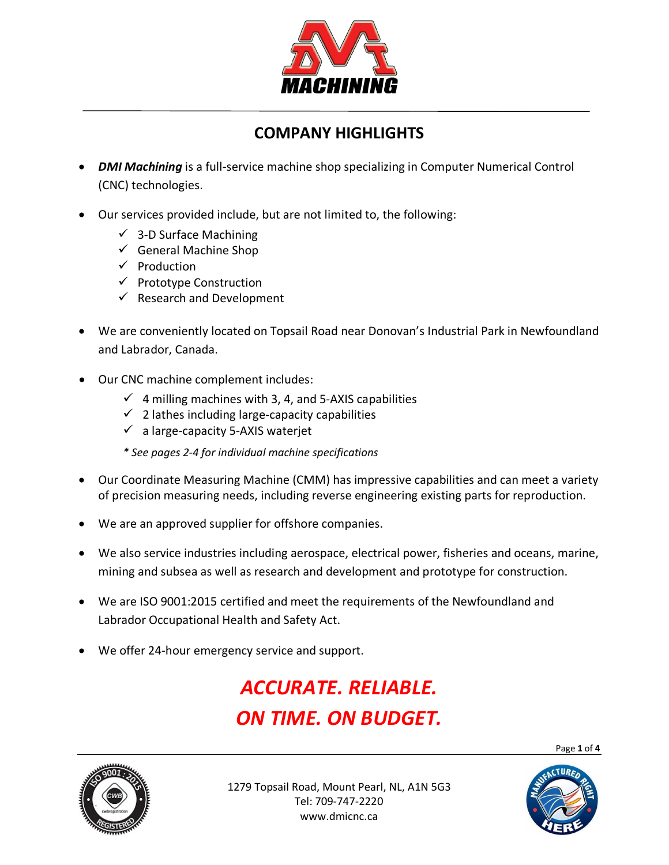

# **COMPANY HIGHLIGHTS**

- *DMI Machining* is a full-service machine shop specializing in Computer Numerical Control (CNC) technologies.
- Our services provided include, but are not limited to, the following:
	- $\checkmark$  3-D Surface Machining
	- $\checkmark$  General Machine Shop
	- $\checkmark$  Production
	- $\checkmark$  Prototype Construction
	- $\checkmark$  Research and Development
- We are conveniently located on Topsail Road near Donovan's Industrial Park in Newfoundland and Labrador, Canada.
- Our CNC machine complement includes:
	- $\checkmark$  4 milling machines with 3, 4, and 5-AXIS capabilities
	- $\checkmark$  2 lathes including large-capacity capabilities
	- $\checkmark$  a large-capacity 5-AXIS waterjet

*\* See pages 2-4 for individual machine specifications*

- Our Coordinate Measuring Machine (CMM) has impressive capabilities and can meet a variety of precision measuring needs, including reverse engineering existing parts for reproduction.
- We are an approved supplier for offshore companies.
- We also service industries including aerospace, electrical power, fisheries and oceans, marine, mining and subsea as well as research and development and prototype for construction.
- We are ISO 9001:2015 certified and meet the requirements of the Newfoundland and Labrador Occupational Health and Safety Act.
- We offer 24-hour emergency service and support.

# *ACCURATE. RELIABLE. ON TIME. ON BUDGET.*

Page **1** of **4**



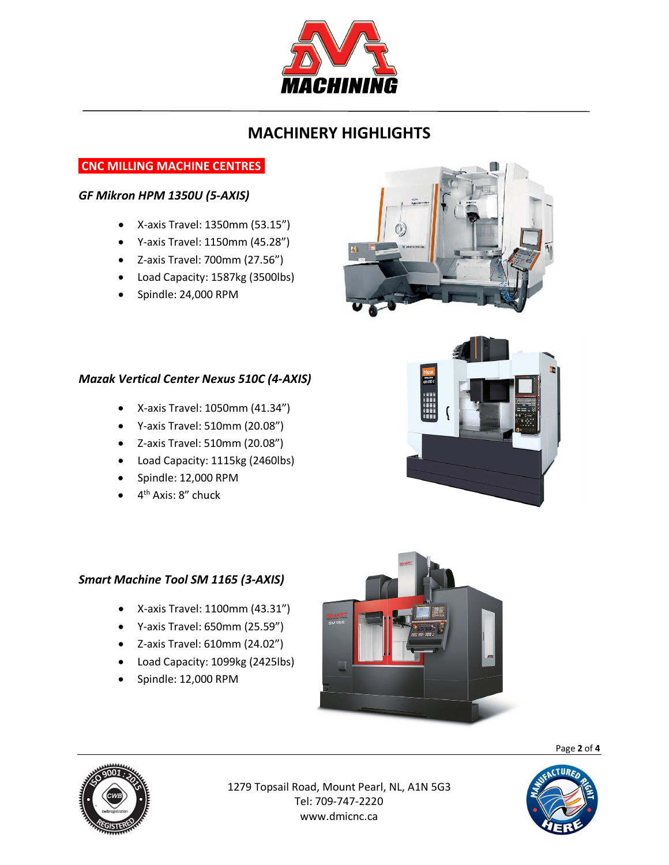

# **MACHINERY HIGHLIGHTS**

# **CNC MILLING MACHINE CENTRES.**

### *GF Mikron HPM 1350U (5-AXIS)*

- X-axis Travel: 1350mm (53.15")
- Y-axis Travel: 1150mm (45.28")
- Z-axis Travel: 700mm (27.56")
- Load Capacity: 1587kg (3500lbs)
- Spindle: 24,000 RPM



- X-axis Travel: 1050mm (41.34")
- Y-axis Travel: 510mm (20.08")
- Z-axis Travel: 510mm (20.08")
- Load Capacity: 1115kg (2460lbs)
- Spindle: 12,000 RPM
- $\bullet$  4<sup>th</sup> Axis: 8" chuck

## *Smart Machine Tool SM 1165 (3-AXIS)*

- X-axis Travel: 1100mm (43.31")
- Y-axis Travel: 650mm (25.59")
- Z-axis Travel: 610mm (24.02")
- Load Capacity: 1099kg (2425lbs)
- Spindle: 12,000 RPM



Page **2** of **4**



1279 Topsail Road, Mount Pearl, NL, A1N 5G3 Tel: 709-747-2220 www.dmicnc.ca





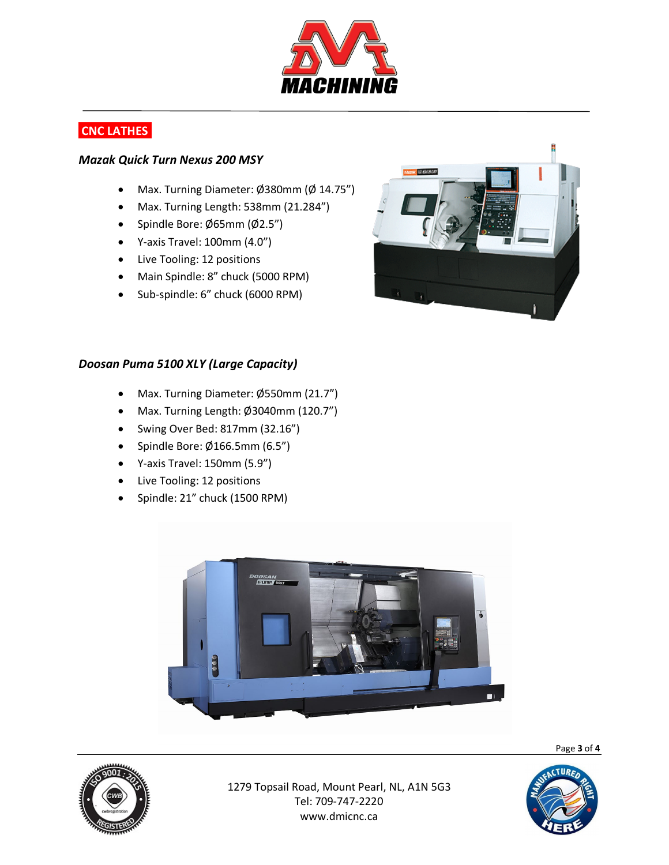

# **CNC LATHES.**

#### *Mazak Quick Turn Nexus 200 MSY*

- Max. Turning Diameter: Ø380mm (Ø 14.75")
- Max. Turning Length: 538mm (21.284")
- Spindle Bore: Ø65mm (Ø2.5")
- Y-axis Travel: 100mm (4.0")
- Live Tooling: 12 positions
- Main Spindle: 8" chuck (5000 RPM)
- Sub-spindle: 6" chuck (6000 RPM)



#### *Doosan Puma 5100 XLY (Large Capacity)*

- Max. Turning Diameter: Ø550mm (21.7")
- Max. Turning Length: Ø3040mm (120.7")
- Swing Over Bed: 817mm (32.16")
- Spindle Bore: Ø166.5mm (6.5")
- Y-axis Travel: 150mm (5.9")
- Live Tooling: 12 positions
- Spindle: 21" chuck (1500 RPM)



1279 Topsail Road, Mount Pearl, NL, A1N 5G3 Tel: 709-747-2220 www.dmicnc.ca



Page **3** of **4**